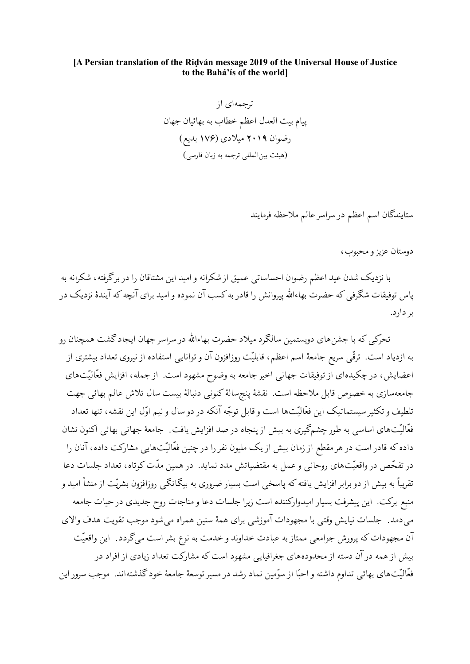## [A Persian translation of the Ridván message 2019 of the Universal House of Justice to the Bahá'ís of the worldl

ستايندگان اسم اعظم در سراسر عالم ملاحظه فرمايند

دوستان عزیز و محبوب،

با نزدیک شدن عید اعظم رضوان احساساتی عمیق از شکرانه و امید این مشتاقان را در برگرفته، شکرانه به پاس توفیقات شگرفی که حضرت بهاءالله پیروانش را قادر به کسب آن نموده و امید برای آنچه که آیندهٔ نزدیک در بر دارد.

تحرکی که با جشنهای دویستمین سالگرد میلاد حضرت بهاءالله در سراسر جهان ایجاد گشت همچنان رو به ازدیاد است. ترقّی سریع جامعهٔ اسم اعظم، قابلیّت روزافزون آن و توانایی استفاده از نیروی تعداد بیشتری از اعضایش، در چکیدهای از توفیقات جهانی اخیر جامعه به وضوح مشهود است. از جمله، افزایش فعّالیّتهای جامعهسازی به خصوص قابل ملاحظه است. نقشهٔ پنجسالهٔ کنونبی دنبالهٔ بیست سال تلاش عالم بهائی جهت تلطيف و تكثير سيستماتيك اين فعّاليّتها است و قابل توجّه آنكه در دو سال و نيم اوّل اين نقشه، تنها تعداد فعَّالیِّتهای اساسی به طور چشمگیری به بیش از پنجاه در صد افزایش یافت ِ جامعهٔ جهانی بهائی اکنون نشان داده که قادر است در هر مقطع از زمان بیش از یک ملیون نفر را در چنین فعّالیّتهایی مشارکت داده، آنان را در تفحّص در واقعیّتهای روحانی و عمل به مقتضیاتش مدد نماید. در همین مدّت کوتاه، تعداد جلسات دعا تقریباً به بیش از دو برابر افزایش یافته که پاسخی است بسیار ضروری به بیگانگی روزافزون بشریّت از منشأ امید و منبع برکت. این پیشرفت بسیار امیدوارکننده است زیرا جلسات دعا و مناجات روح جدیدی در حیات جامعه می دمد ـ جلسات نیایش وقتبی با مجهودات آموزشی برای همهٔ سنین همراه می شود موجب تقویت هدف والای ۔<br>آن مجھودات که یرورش جوامعی ممتاز به عبادت خداوند و خدمت به نوع بشر است میگردد<sub>.</sub> این واقعیّت بیش از همه در آن دسته از محدودههای جغرافیایی مشهود است که مشارکت تعداد زیادی از افراد در .<br>فعّالیّتهای بهائی تداوم داشته و احیّا از سوّمین نماد <sub>د</sub>شد در مسیر توسعهٔ جامعهٔ خود گذشتهاند. موجب سرور این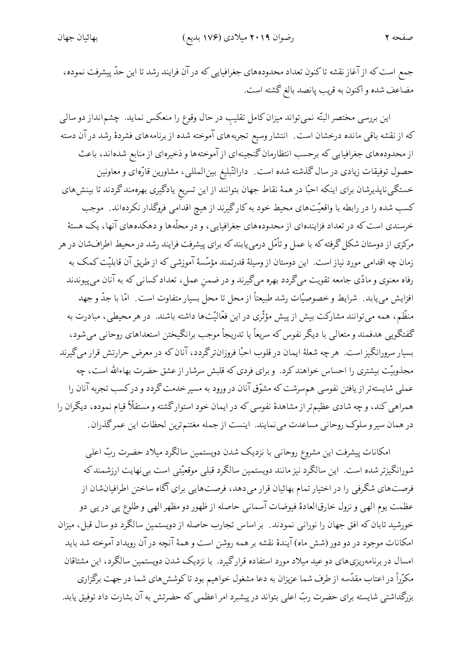جمع است که از آغاز نقشه تاکنون تعداد محدودههای جغرافیایی که در آن فرایند رشد تا این حدّ پیشرفت نموده، مضاعف شده و اكنون به قريب پانصد بالغ گشته است.

این بررسی مختصر البتّه نمیٍتواند میزان کامل تقلیب در حال وقوع را منعکس نماید. چشم|نداز دو سالی که از نقشه باقیی مانده درخشان است. انتشار وسیع تجربههای آموخته شده از برنامههای فشردهٔ رشد در آن دسته از محدودههای جغرافیایی که برحسب انتظارمان گنجینهای از آموختهها و ذخیرهای از منابع شدهاند، باعث حصول توفیقات زیادی در سال گذشته شده است ـ دارالتّبلیغ بین|لمللیی، مشاورین قارّهای و معاونین خستگی ناپذیرشان برای اینکه احبّا در همهٔ نقاط جهان بتوانند از این تسریع یادگیری بهرهمند گردند تا بینش های کسب شده را در رابطه با واقعیّتهای محیط خود به کارگیرند از هیچ اقداُمی فروگذار نکردهاند . موجب خرسندی است که در تعداد فزایندهای از محدودههای جغرافیایی، و در محلّهها و دهکدههای آنها، یک هستهٔ مرکزی از دوستان شکل گرفته که با عمل و تأمّل درمییابندکه برای پیشرفت فرایند رشد در محیط اطرافشان در هر زمان چه اقدامی مورد نیاز است. این دوستان از وسیلهٔ قدرتمند مؤسّسهٔ آموزشی که از طریق آن قابلیّت کمک به رفاه معنوی و مادّی جامعه تقویت میگردد بهره میگیرند و در ضمن عمل، تعداد کسانی که به آنان میپیوندند افزایش می یابد. شرایط و خصوصیّات رشد طبیعتاً از محل تا محل بسیار متفاوت است. امّا با جدّ و جهد منظّم، همه میتوانند مشارکت بیش از پیش مؤثّری در این فعّالیّتها داشته باشند. در هر محیطی، مبادرت به گفتگویی هدفمند و متعالی با دیگر نفوس که سریعاً یا تدریجاً موجب برانگیختن استعداهای روحانی میشود، بسیار سرورانگیز است. هرچه شعلهٔ ایمان در قلوب احبّا فروزانترگردد، آنان که در معرض حرارتش قرار میگیرند مجذوبیّت بیشتری را احساس خواهند کرد. و برای فردی که قلبش سرشار از عشق حضرت بهاءالله است، چه عملی شایستهتر از یافتن نفوسی هم سرشت که مشوّق آنان در ورود به مسیر خدمت گردد و درکسب تجربه آنان را همراهی کند، و چه شادی عظیم تر از مشاهدهٔ نفوسی که در ایمان خود استوارگشته و مستقلاً قیام نموده، دیگران را در همان سیر و سلوک روحانی مساعدت می نمایند. اینست از جمله مغتنم ترین لحظات این عمرگذران.

امکانات پیشرفت این مشروع روحانبی با نزدیک شدن دویستمین سالگرد میلاد حضرت ربّ اعلمی شورانگیزتر شده است. این سالگرد نیز مانند دویستمین سالگرد قبلی موقعیّتی است بی نهایت ارزشمند که فرصتهای شگرفی را در اختیار تمام بهائیان قرار میدهد، فرصتهایی برای آگاه ساختن اطرافیانشان از عظمت يوم الهي و نزول خارق|لعادهٔ فيوضات آسماني حاصله از ظهور دو مظهر الهي و طلوع پي در پي دو خورشید تابان که افق جهان را نورانبی نمودند ِ بر اساس تجارب حاصله از دویستمین سالگرد دو سال قبل، میزان امکانات موجود در دو دور (شش ماه) آیندهٔ نقشه بر همه روشن است و همهٔ آنچه در آن رویداد آموخته شد باید امسال در برنامهریزی های دو عید میلاد مورد استفاده قرارگیرد. با نزدیک شدن دویستمین سالگرد، این مشتاقان مکرّراً در اعتاب مقدّسه از طرف شما عزیزان به دعا مشغول خواهیم بود تاکوشش۵ای شما در جهت برگزاری بزرگداشتی شایسته برای حضرت ربّ اعلی بتواند در پیشبرد امر اعظمی که حضرتش به آن بشارت داد توفیق یابد.